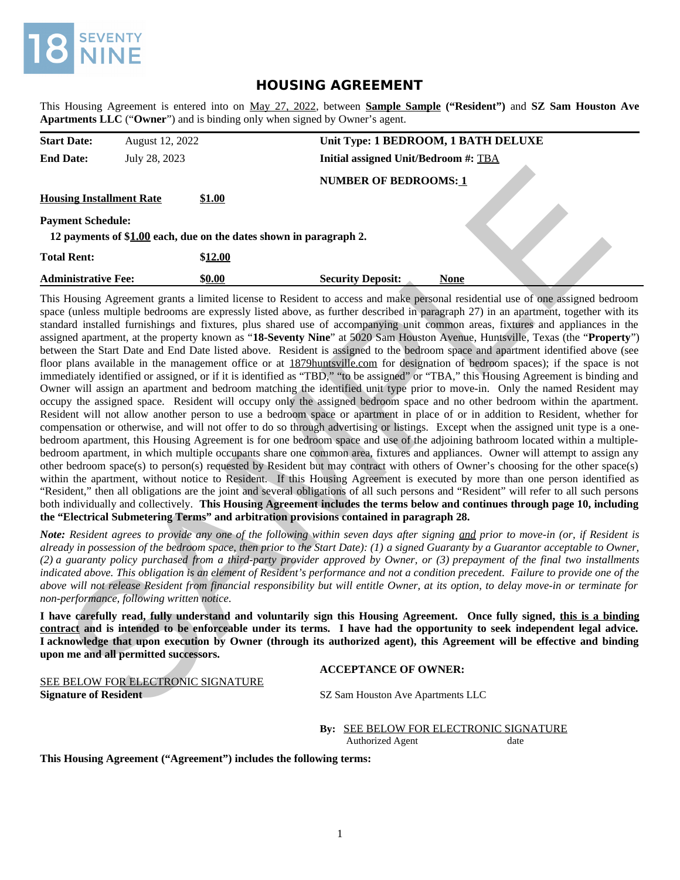

# **HOUSING AGREEMENT**

This Housing Agreement is entered into on May 27, 2022, between **Sample Sample ("Resident")** and **SZ Sam Houston Ave Apartments LLC** ("**Owner**") and is binding only when signed by Owner's agent.

| <b>Start Date:</b>              | August 12, 2022 |                                                                    | Unit Type: 1 BEDROOM, 1 BATH DELUXE  |             |
|---------------------------------|-----------------|--------------------------------------------------------------------|--------------------------------------|-------------|
| <b>End Date:</b>                | July 28, 2023   |                                                                    | Initial assigned Unit/Bedroom #: TBA |             |
|                                 |                 |                                                                    | <b>NUMBER OF BEDROOMS: 1</b>         |             |
| <b>Housing Installment Rate</b> |                 | \$1.00                                                             |                                      |             |
| <b>Payment Schedule:</b>        |                 |                                                                    |                                      |             |
|                                 |                 | 12 payments of \$1.00 each, due on the dates shown in paragraph 2. |                                      |             |
| <b>Total Rent:</b>              |                 | \$12.00                                                            |                                      |             |
| <b>Administrative Fee:</b>      |                 | \$0.00                                                             | <b>Security Deposit:</b>             | <b>None</b> |

This Housing Agreement grants a limited license to Resident to access and make personal residential use of one assigned bedroom space (unless multiple bedrooms are expressly listed above, as further described in paragraph 27) in an apartment, together with its standard installed furnishings and fixtures, plus shared use of accompanying unit common areas, fixtures and appliances in the assigned apartment, at the property known as "**18-Seventy Nine**" at 5020 Sam Houston Avenue, Huntsville, Texas (the "**Property**") between the Start Date and End Date listed above. Resident is assigned to the bedroom space and apartment identified above (see floor plans available in the management office or at 1879huntsville.com for designation of bedroom spaces); if the space is not immediately identified or assigned, or if it is identified as "TBD," "to be assigned" or "TBA," this Housing Agreement is binding and Owner will assign an apartment and bedroom matching the identified unit type prior to move-in. Only the named Resident may occupy the assigned space. Resident will occupy only the assigned bedroom space and no other bedroom within the apartment. Resident will not allow another person to use a bedroom space or apartment in place of or in addition to Resident, whether for compensation or otherwise, and will not offer to do so through advertising or listings. Except when the assigned unit type is a onebedroom apartment, this Housing Agreement is for one bedroom space and use of the adjoining bathroom located within a multiplebedroom apartment, in which multiple occupants share one common area, fixtures and appliances. Owner will attempt to assign any other bedroom space(s) to person(s) requested by Resident but may contract with others of Owner's choosing for the other space(s) within the apartment, without notice to Resident. If this Housing Agreement is executed by more than one person identified as "Resident," then all obligations are the joint and several obligations of all such persons and "Resident" will refer to all such persons both individually and collectively. **This Housing Agreement includes the terms below and continues through page 10, including the "Electrical Submetering Terms" and arbitration provisions contained in paragraph 28.** sing Installment Rate<br>
NUMBER OP BEDROOMS:1<br>
The installment Rate<br>
payments of SLA0 coch, due on the dates shown in paragraph 2,<br>
Detailed and the dates shown in paragraph 2,<br>
Detailed and the symphosic SQLAD (local contr

*Note: Resident agrees to provide any one of the following within seven days after signing and prior to move-in (or, if Resident is already in possession of the bedroom space, then prior to the Start Date): (1) a signed Guaranty by a Guarantor acceptable to Owner, (2) a guaranty policy purchased from a third-party provider approved by Owner, or (3) prepayment of the final two installments indicated above. This obligation is an element of Resident's performance and not a condition precedent. Failure to provide one of the above will not release Resident from financial responsibility but will entitle Owner, at its option, to delay move-in or terminate for non-performance, following written notice.*

**I have carefully read, fully understand and voluntarily sign this Housing Agreement. Once fully signed, this is a binding contract and is intended to be enforceable under its terms. I have had the opportunity to seek independent legal advice. I acknowledge that upon execution by Owner (through its authorized agent), this Agreement will be effective and binding upon me and all permitted successors.**

# **ACCEPTANCE OF OWNER:**

SEE BELOW FOR ELECTRONIC SIGNATURE **Signature of Resident ST ST SAME ST SC SAME ST ST SC SAME HOUSTON AVE APARTMENTS LLC** 

**By:** SEE BELOW FOR ELECTRONIC SIGNATURE Authorized Agent date

**This Housing Agreement ("Agreement") includes the following terms:**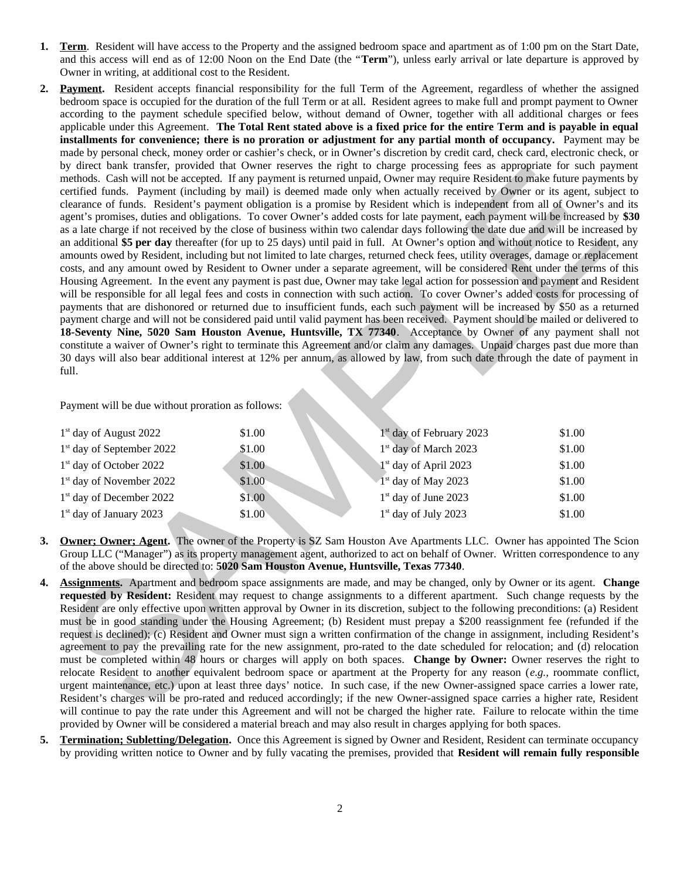- **1. Term**. Resident will have access to the Property and the assigned bedroom space and apartment as of 1:00 pm on the Start Date, and this access will end as of 12:00 Noon on the End Date (the "**Term**"), unless early arrival or late departure is approved by Owner in writing, at additional cost to the Resident.
- **2. Payment.** Resident accepts financial responsibility for the full Term of the Agreement, regardless of whether the assigned bedroom space is occupied for the duration of the full Term or at all. Resident agrees to make full and prompt payment to Owner according to the payment schedule specified below, without demand of Owner, together with all additional charges or fees applicable under this Agreement. **The Total Rent stated above is a fixed price for the entire Term and is payable in equal installments for convenience; there is no proration or adjustment for any partial month of occupancy.** Payment may be made by personal check, money order or cashier's check, or in Owner's discretion by credit card, check card, electronic check, or by direct bank transfer, provided that Owner reserves the right to charge processing fees as appropriate for such payment methods. Cash will not be accepted. If any payment is returned unpaid, Owner may require Resident to make future payments by certified funds. Payment (including by mail) is deemed made only when actually received by Owner or its agent, subject to clearance of funds. Resident's payment obligation is a promise by Resident which is independent from all of Owner's and its agent's promises, duties and obligations. To cover Owner's added costs for late payment, each payment will be increased by **\$30** as a late charge if not received by the close of business within two calendar days following the date due and will be increased by an additional **\$5 per day** thereafter (for up to 25 days) until paid in full. At Owner's option and without notice to Resident, any amounts owed by Resident, including but not limited to late charges, returned check fees, utility overages, damage or replacement costs, and any amount owed by Resident to Owner under a separate agreement, will be considered Rent under the terms of this Housing Agreement. In the event any payment is past due, Owner may take legal action for possession and payment and Resident will be responsible for all legal fees and costs in connection with such action. To cover Owner's added costs for processing of payments that are dishonored or returned due to insufficient funds, each such payment will be increased by \$50 as a returned payment charge and will not be considered paid until valid payment has been received. Payment should be mailed or delivered to **18-Seventy Nine, 5020 Sam Houston Avenue, Huntsville, TX 77340**. Acceptance by Owner of any payment shall not constitute a waiver of Owner's right to terminate this Agreement and/or claim any damages. Unpaid charges past due more than 30 days will also bear additional interest at 12% per annum, as allowed by law, from such date through the date of payment in full. By and taking provided that Owner rearrows the paper to campus processing tees a spacement of the denoted that the spacement of the space of the space of the space of the space of the space of the space of the space of th

Payment will be due without proration as follows:

| $1st$ day of August 2022             | \$1.00 | $1st$ day of February 2023        | \$1.00 |
|--------------------------------------|--------|-----------------------------------|--------|
| $1st$ day of September 2022          | \$1.00 | 1 <sup>st</sup> day of March 2023 | \$1.00 |
| 1 <sup>st</sup> day of October 2022  | \$1.00 | $1st$ day of April 2023           | \$1.00 |
| 1 <sup>st</sup> day of November 2022 | \$1.00 | $1st$ day of May 2023             | \$1.00 |
| 1 <sup>st</sup> day of December 2022 | \$1.00 | $1st$ day of June 2023            | \$1.00 |
| $1st$ day of January 2023            | \$1.00 | $1st$ day of July 2023            | \$1.00 |

- **3. Owner; Owner; Agent.** The owner of the Property is SZ Sam Houston Ave Apartments LLC. Owner has appointed The Scion Group LLC ("Manager") as its property management agent, authorized to act on behalf of Owner. Written correspondence to any of the above should be directed to: **5020 Sam Houston Avenue, Huntsville, Texas 77340**.
- **4. Assignments.** Apartment and bedroom space assignments are made, and may be changed, only by Owner or its agent. **Change requested by Resident:** Resident may request to change assignments to a different apartment. Such change requests by the Resident are only effective upon written approval by Owner in its discretion, subject to the following preconditions: (a) Resident must be in good standing under the Housing Agreement; (b) Resident must prepay a \$200 reassignment fee (refunded if the request is declined); (c) Resident and Owner must sign a written confirmation of the change in assignment, including Resident's agreement to pay the prevailing rate for the new assignment, pro-rated to the date scheduled for relocation; and (d) relocation must be completed within 48 hours or charges will apply on both spaces. **Change by Owner:** Owner reserves the right to relocate Resident to another equivalent bedroom space or apartment at the Property for any reason (*e.g.,* roommate conflict, urgent maintenance, etc.) upon at least three days' notice. In such case, if the new Owner-assigned space carries a lower rate, Resident's charges will be pro-rated and reduced accordingly; if the new Owner-assigned space carries a higher rate, Resident will continue to pay the rate under this Agreement and will not be charged the higher rate. Failure to relocate within the time provided by Owner will be considered a material breach and may also result in charges applying for both spaces.
- **5. Termination; Subletting/Delegation.** Once this Agreement is signed by Owner and Resident, Resident can terminate occupancy by providing written notice to Owner and by fully vacating the premises, provided that **Resident will remain fully responsible**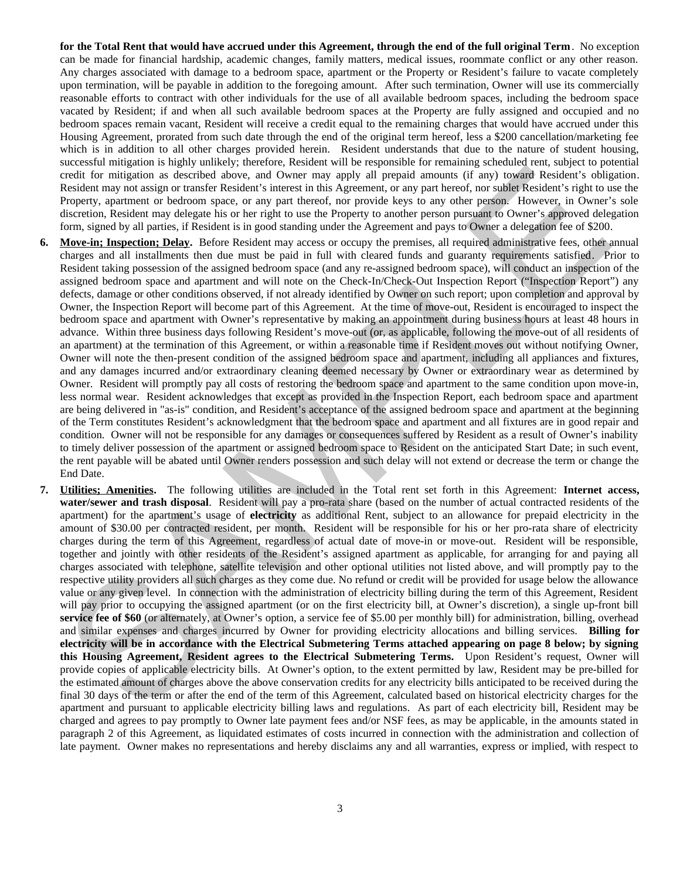**for the Total Rent that would have accrued under this Agreement, through the end of the full original Term**. No exception can be made for financial hardship, academic changes, family matters, medical issues, roommate conflict or any other reason. Any charges associated with damage to a bedroom space, apartment or the Property or Resident's failure to vacate completely upon termination, will be payable in addition to the foregoing amount. After such termination, Owner will use its commercially reasonable efforts to contract with other individuals for the use of all available bedroom spaces, including the bedroom space vacated by Resident; if and when all such available bedroom spaces at the Property are fully assigned and occupied and no bedroom spaces remain vacant, Resident will receive a credit equal to the remaining charges that would have accrued under this Housing Agreement, prorated from such date through the end of the original term hereof, less a \$200 cancellation/marketing fee which is in addition to all other charges provided herein. Resident understands that due to the nature of student housing, successful mitigation is highly unlikely; therefore, Resident will be responsible for remaining scheduled rent, subject to potential credit for mitigation as described above, and Owner may apply all prepaid amounts (if any) toward Resident's obligation. Resident may not assign or transfer Resident's interest in this Agreement, or any part hereof, nor sublet Resident's right to use the Property, apartment or bedroom space, or any part thereof, nor provide keys to any other person. However, in Owner's sole discretion, Resident may delegate his or her right to use the Property to another person pursuant to Owner's approved delegation form, signed by all parties, if Resident is in good standing under the Agreement and pays to Owner a delegation fee of \$200.

- **6. Move-in; Inspection; Delay.** Before Resident may access or occupy the premises, all required administrative fees, other annual charges and all installments then due must be paid in full with cleared funds and guaranty requirements satisfied. Prior to Resident taking possession of the assigned bedroom space (and any re-assigned bedroom space), will conduct an inspection of the assigned bedroom space and apartment and will note on the Check-In/Check-Out Inspection Report ("Inspection Report") any defects, damage or other conditions observed, if not already identified by Owner on such report; upon completion and approval by Owner, the Inspection Report will become part of this Agreement. At the time of move-out, Resident is encouraged to inspect the bedroom space and apartment with Owner's representative by making an appointment during business hours at least 48 hours in advance. Within three business days following Resident's move-out (or, as applicable, following the move-out of all residents of an apartment) at the termination of this Agreement, or within a reasonable time if Resident moves out without notifying Owner, Owner will note the then-present condition of the assigned bedroom space and apartment, including all appliances and fixtures, and any damages incurred and/or extraordinary cleaning deemed necessary by Owner or extraordinary wear as determined by Owner. Resident will promptly pay all costs of restoring the bedroom space and apartment to the same condition upon move-in, less normal wear. Resident acknowledges that except as provided in the Inspection Report, each bedroom space and apartment are being delivered in "as-is" condition, and Resident's acceptance of the assigned bedroom space and apartment at the beginning of the Term constitutes Resident's acknowledgment that the bedroom space and apartment and all fixtures are in good repair and condition. Owner will not be responsible for any damages or consequences suffered by Resident as a result of Owner's inability to timely deliver possession of the apartment or assigned bedroom space to Resident on the anticipated Start Date; in such event, the rent payable will be abated until Owner renders possession and such delay will not extend or decrease the term or change the End Date. costil for materials as electrological sobre and Osward and the material material and the material solution of the material solution of the material solution of the material solution of the material solution of the materia
- **7. Utilities; Amenities.** The following utilities are included in the Total rent set forth in this Agreement: **Internet access, water/sewer and trash disposal**. Resident will pay a pro-rata share (based on the number of actual contracted residents of the apartment) for the apartment's usage of **electricity** as additional Rent, subject to an allowance for prepaid electricity in the amount of \$30.00 per contracted resident, per month. Resident will be responsible for his or her pro-rata share of electricity charges during the term of this Agreement, regardless of actual date of move-in or move-out. Resident will be responsible, together and jointly with other residents of the Resident's assigned apartment as applicable, for arranging for and paying all charges associated with telephone, satellite television and other optional utilities not listed above, and will promptly pay to the respective utility providers all such charges as they come due. No refund or credit will be provided for usage below the allowance value or any given level. In connection with the administration of electricity billing during the term of this Agreement, Resident will pay prior to occupying the assigned apartment (or on the first electricity bill, at Owner's discretion), a single up-front bill **service fee of \$60** (or alternately, at Owner's option, a service fee of \$5.00 per monthly bill) for administration, billing, overhead and similar expenses and charges incurred by Owner for providing electricity allocations and billing services. **Billing for electricity will be in accordance with the Electrical Submetering Terms attached appearing on page 8 below; by signing this Housing Agreement, Resident agrees to the Electrical Submetering Terms.** Upon Resident's request, Owner will provide copies of applicable electricity bills. At Owner's option, to the extent permitted by law, Resident may be pre-billed for the estimated amount of charges above the above conservation credits for any electricity bills anticipated to be received during the final 30 days of the term or after the end of the term of this Agreement, calculated based on historical electricity charges for the apartment and pursuant to applicable electricity billing laws and regulations. As part of each electricity bill, Resident may be charged and agrees to pay promptly to Owner late payment fees and/or NSF fees, as may be applicable, in the amounts stated in paragraph 2 of this Agreement, as liquidated estimates of costs incurred in connection with the administration and collection of late payment. Owner makes no representations and hereby disclaims any and all warranties, express or implied, with respect to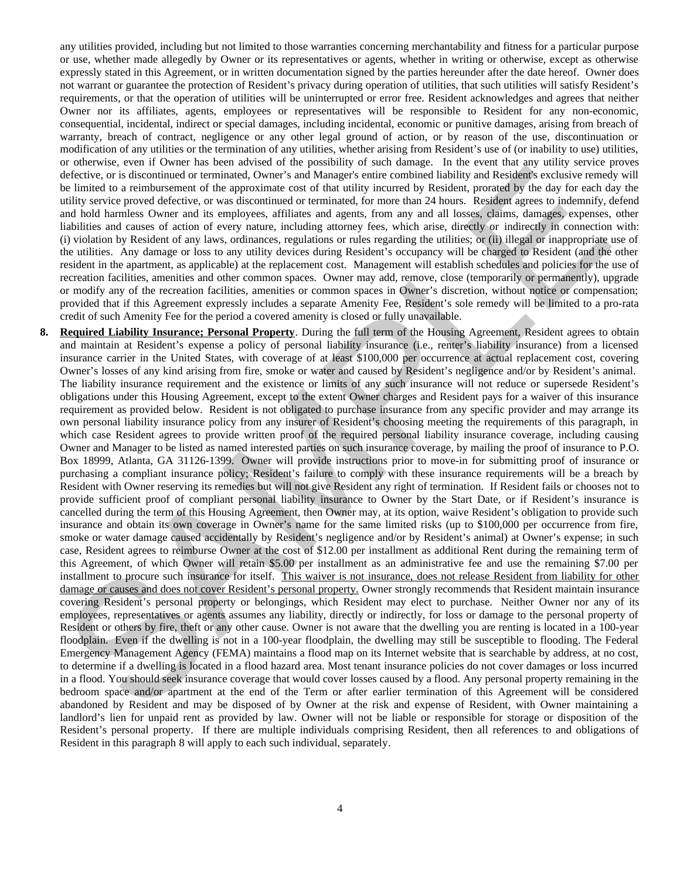any utilities provided, including but not limited to those warranties concerning merchantability and fitness for a particular purpose or use, whether made allegedly by Owner or its representatives or agents, whether in writing or otherwise, except as otherwise expressly stated in this Agreement, or in written documentation signed by the parties hereunder after the date hereof. Owner does not warrant or guarantee the protection of Resident's privacy during operation of utilities, that such utilities will satisfy Resident's requirements, or that the operation of utilities will be uninterrupted or error free. Resident acknowledges and agrees that neither Owner nor its affiliates, agents, employees or representatives will be responsible to Resident for any non-economic, consequential, incidental, indirect or special damages, including incidental, economic or punitive damages, arising from breach of warranty, breach of contract, negligence or any other legal ground of action, or by reason of the use, discontinuation or modification of any utilities or the termination of any utilities, whether arising from Resident's use of (or inability to use) utilities, or otherwise, even if Owner has been advised of the possibility of such damage. In the event that any utility service proves defective, or is discontinued or terminated, Owner's and Manager's entire combined liability and Resident's exclusive remedy will be limited to a reimbursement of the approximate cost of that utility incurred by Resident, prorated by the day for each day the utility service proved defective, or was discontinued or terminated, for more than 24 hours. Resident agrees to indemnify, defend and hold harmless Owner and its employees, affiliates and agents, from any and all losses, claims, damages, expenses, other liabilities and causes of action of every nature, including attorney fees, which arise, directly or indirectly in connection with: (i) violation by Resident of any laws, ordinances, regulations or rules regarding the utilities; or (ii) illegal or inappropriate use of the utilities. Any damage or loss to any utility devices during Resident's occupancy will be charged to Resident (and the other resident in the apartment, as applicable) at the replacement cost. Management will establish schedules and policies for the use of recreation facilities, amenities and other common spaces. Owner may add, remove, close (temporarily or permanently), upgrade or modify any of the recreation facilities, amenities or common spaces in Owner's discretion, without notice or compensation; provided that if this Agreement expressly includes a separate Amenity Fee, Resident's sole remedy will be limited to a pro-rata credit of such Amenity Fee for the period a covered amenity is closed or fully unavailable.

**8. Required Liability Insurance; Personal Property**. During the full term of the Housing Agreement, Resident agrees to obtain and maintain at Resident's expense a policy of personal liability insurance (i.e., renter's liability insurance) from a licensed insurance carrier in the United States, with coverage of at least \$100,000 per occurrence at actual replacement cost, covering Owner's losses of any kind arising from fire, smoke or water and caused by Resident's negligence and/or by Resident's animal. The liability insurance requirement and the existence or limits of any such insurance will not reduce or supersede Resident's obligations under this Housing Agreement, except to the extent Owner charges and Resident pays for a waiver of this insurance requirement as provided below. Resident is not obligated to purchase insurance from any specific provider and may arrange its own personal liability insurance policy from any insurer of Resident's choosing meeting the requirements of this paragraph, in which case Resident agrees to provide written proof of the required personal liability insurance coverage, including causing Owner and Manager to be listed as named interested parties on such insurance coverage, by mailing the proof of insurance to P.O. Box 18999, Atlanta, GA 31126-1399. Owner will provide instructions prior to move-in for submitting proof of insurance or purchasing a compliant insurance policy; Resident's failure to comply with these insurance requirements will be a breach by Resident with Owner reserving its remedies but will not give Resident any right of termination. If Resident fails or chooses not to provide sufficient proof of compliant personal liability insurance to Owner by the Start Date, or if Resident's insurance is cancelled during the term of this Housing Agreement, then Owner may, at its option, waive Resident's obligation to provide such insurance and obtain its own coverage in Owner's name for the same limited risks (up to \$100,000 per occurrence from fire, smoke or water damage caused accidentally by Resident's negligence and/or by Resident's animal) at Owner's expense; in such case, Resident agrees to reimburse Owner at the cost of \$12.00 per installment as additional Rent during the remaining term of this Agreement, of which Owner will retain \$5.00 per installment as an administrative fee and use the remaining \$7.00 per installment to procure such insurance for itself. This waiver is not insurance, does not release Resident from liability for other damage or causes and does not cover Resident's personal property. Owner strongly recommends that Resident maintain insurance covering Resident's personal property or belongings, which Resident may elect to purchase. Neither Owner nor any of its employees, representatives or agents assumes any liability, directly or indirectly, for loss or damage to the personal property of Resident or others by fire, theft or any other cause. Owner is not aware that the dwelling you are renting is located in a 100-year floodplain. Even if the dwelling is not in a 100-year floodplain, the dwelling may still be susceptible to flooding. The Federal Emergency Management Agency (FEMA) maintains a flood map on its Internet website that is searchable by address, at no cost, to determine if a dwelling is located in a flood hazard area. Most tenant insurance policies do not cover damages or loss incurred in a flood. You should seek insurance coverage that would cover losses caused by a flood. Any personal property remaining in the bedroom space and/or apartment at the end of the Term or after earlier termination of this Agreement will be considered abandoned by Resident and may be disposed of by Owner at the risk and expense of Resident, with Owner maintaining a landlord's lien for unpaid rent as provided by law. Owner will not be liable or responsible for storage or disposition of the Resident's personal property. If there are multiple individuals comprising Resident, then all references to and obligations of Resident in this paragraph 8 will apply to each such individual, separately. denotes a bit an anomal and power and holonic state and the state and the state and the state and the state and the state and the state and the state and the state and the state and the state and the state and the state a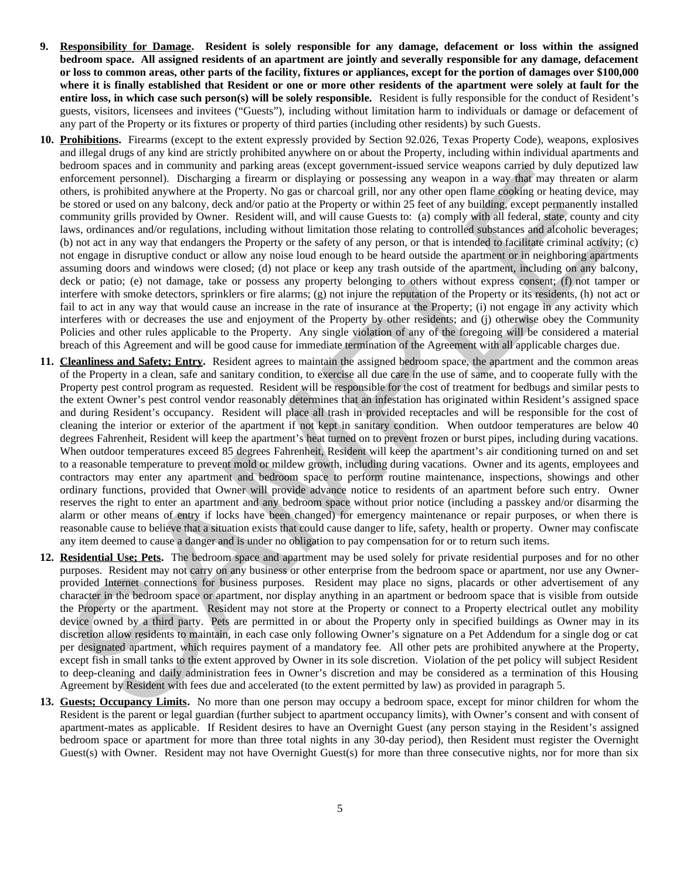- **9. Responsibility for Damage. Resident is solely responsible for any damage, defacement or loss within the assigned bedroom space. All assigned residents of an apartment are jointly and severally responsible for any damage, defacement or loss to common areas, other parts of the facility, fixtures or appliances, except for the portion of damages over \$100,000 where it is finally established that Resident or one or more other residents of the apartment were solely at fault for the entire loss, in which case such person(s) will be solely responsible.** Resident is fully responsible for the conduct of Resident's guests, visitors, licensees and invitees ("Guests"), including without limitation harm to individuals or damage or defacement of any part of the Property or its fixtures or property of third parties (including other residents) by such Guests.
- **10. Prohibitions.** Firearms (except to the extent expressly provided by Section 92.026, Texas Property Code), weapons, explosives and illegal drugs of any kind are strictly prohibited anywhere on or about the Property, including within individual apartments and bedroom spaces and in community and parking areas (except government-issued service weapons carried by duly deputized law enforcement personnel). Discharging a firearm or displaying or possessing any weapon in a way that may threaten or alarm others, is prohibited anywhere at the Property. No gas or charcoal grill, nor any other open flame cooking or heating device, may be stored or used on any balcony, deck and/or patio at the Property or within 25 feet of any building, except permanently installed community grills provided by Owner. Resident will, and will cause Guests to: (a) comply with all federal, state, county and city laws, ordinances and/or regulations, including without limitation those relating to controlled substances and alcoholic beverages; (b) not act in any way that endangers the Property or the safety of any person, or that is intended to facilitate criminal activity; (c) not engage in disruptive conduct or allow any noise loud enough to be heard outside the apartment or in neighboring apartments assuming doors and windows were closed; (d) not place or keep any trash outside of the apartment, including on any balcony, deck or patio; (e) not damage, take or possess any property belonging to others without express consent; (f) not tamper or interfere with smoke detectors, sprinklers or fire alarms; (g) not injure the reputation of the Property or its residents, (h) not act or fail to act in any way that would cause an increase in the rate of insurance at the Property; (i) not engage in any activity which interferes with or decreases the use and enjoyment of the Property by other residents; and (j) otherwise obey the Community Policies and other rules applicable to the Property. Any single violation of any of the foregoing will be considered a material breach of this Agreement and will be good cause for immediate termination of the Agreement with all applicable charges due.
- **11. Cleanliness and Safety; Entry.** Resident agrees to maintain the assigned bedroom space, the apartment and the common areas of the Property in a clean, safe and sanitary condition, to exercise all due care in the use of same, and to cooperate fully with the Property pest control program as requested. Resident will be responsible for the cost of treatment for bedbugs and similar pests to the extent Owner's pest control vendor reasonably determines that an infestation has originated within Resident's assigned space and during Resident's occupancy. Resident will place all trash in provided receptacles and will be responsible for the cost of cleaning the interior or exterior of the apartment if not kept in sanitary condition. When outdoor temperatures are below 40 degrees Fahrenheit, Resident will keep the apartment's heat turned on to prevent frozen or burst pipes, including during vacations. When outdoor temperatures exceed 85 degrees Fahrenheit, Resident will keep the apartment's air conditioning turned on and set to a reasonable temperature to prevent mold or mildew growth, including during vacations. Owner and its agents, employees and contractors may enter any apartment and bedroom space to perform routine maintenance, inspections, showings and other ordinary functions, provided that Owner will provide advance notice to residents of an apartment before such entry. Owner reserves the right to enter an apartment and any bedroom space without prior notice (including a passkey and/or disarming the alarm or other means of entry if locks have been changed) for emergency maintenance or repair purposes, or when there is reasonable cause to believe that a situation exists that could cause danger to life, safety, health or property. Owner may confiscate any item deemed to cause a danger and is under no obligation to pay compensation for or to return such items. between that means the measure and system and particle in the constitute with the comparison space in the constrained particle in the constrained and the constrained and the constrained and the constrained and the constrai
- **12. Residential Use; Pets.** The bedroom space and apartment may be used solely for private residential purposes and for no other purposes. Resident may not carry on any business or other enterprise from the bedroom space or apartment, nor use any Ownerprovided Internet connections for business purposes. Resident may place no signs, placards or other advertisement of any character in the bedroom space or apartment, nor display anything in an apartment or bedroom space that is visible from outside the Property or the apartment. Resident may not store at the Property or connect to a Property electrical outlet any mobility device owned by a third party. Pets are permitted in or about the Property only in specified buildings as Owner may in its discretion allow residents to maintain, in each case only following Owner's signature on a Pet Addendum for a single dog or cat per designated apartment, which requires payment of a mandatory fee. All other pets are prohibited anywhere at the Property, except fish in small tanks to the extent approved by Owner in its sole discretion. Violation of the pet policy will subject Resident to deep-cleaning and daily administration fees in Owner's discretion and may be considered as a termination of this Housing Agreement by Resident with fees due and accelerated (to the extent permitted by law) as provided in paragraph 5.
- **13. Guests; Occupancy Limits.** No more than one person may occupy a bedroom space, except for minor children for whom the Resident is the parent or legal guardian (further subject to apartment occupancy limits), with Owner's consent and with consent of apartment-mates as applicable. If Resident desires to have an Overnight Guest (any person staying in the Resident's assigned bedroom space or apartment for more than three total nights in any 30-day period), then Resident must register the Overnight Guest(s) with Owner. Resident may not have Overnight Guest(s) for more than three consecutive nights, nor for more than six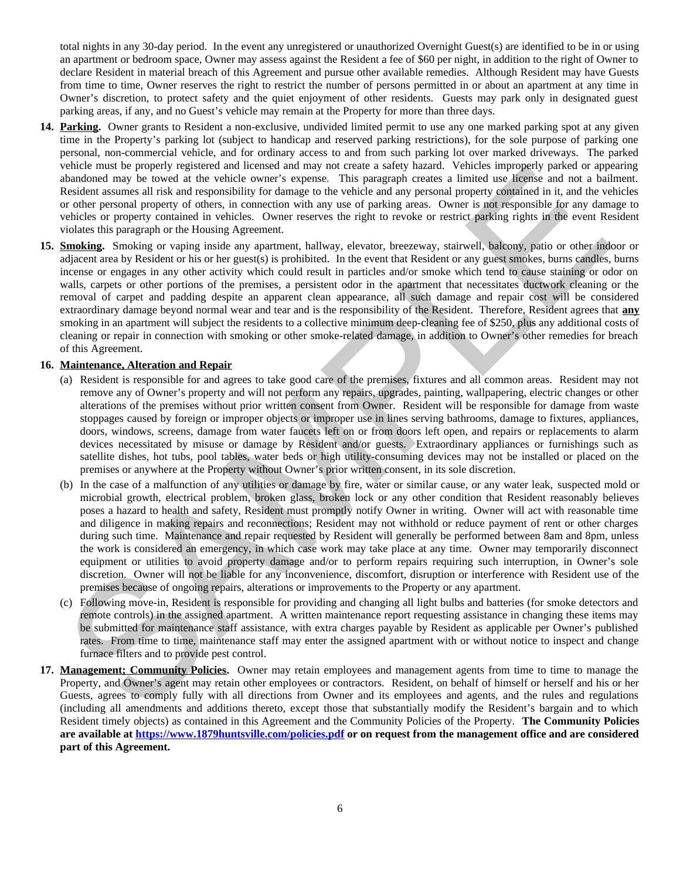total nights in any 30-day period. In the event any unregistered or unauthorized Overnight Guest(s) are identified to be in or using an apartment or bedroom space, Owner may assess against the Resident a fee of \$60 per night, in addition to the right of Owner to declare Resident in material breach of this Agreement and pursue other available remedies. Although Resident may have Guests from time to time, Owner reserves the right to restrict the number of persons permitted in or about an apartment at any time in Owner's discretion, to protect safety and the quiet enjoyment of other residents. Guests may park only in designated guest parking areas, if any, and no Guest's vehicle may remain at the Property for more than three days.

- **14. Parking.** Owner grants to Resident a non-exclusive, undivided limited permit to use any one marked parking spot at any given time in the Property's parking lot (subject to handicap and reserved parking restrictions), for the sole purpose of parking one personal, non-commercial vehicle, and for ordinary access to and from such parking lot over marked driveways. The parked vehicle must be properly registered and licensed and may not create a safety hazard. Vehicles improperly parked or appearing abandoned may be towed at the vehicle owner's expense. This paragraph creates a limited use license and not a bailment. Resident assumes all risk and responsibility for damage to the vehicle and any personal property contained in it, and the vehicles or other personal property of others, in connection with any use of parking areas. Owner is not responsible for any damage to vehicles or property contained in vehicles. Owner reserves the right to revoke or restrict parking rights in the event Resident violates this paragraph or the Housing Agreement.
- **15. Smoking.** Smoking or vaping inside any apartment, hallway, elevator, breezeway, stairwell, balcony, patio or other indoor or adjacent area by Resident or his or her guest(s) is prohibited. In the event that Resident or any guest smokes, burns candles, burns incense or engages in any other activity which could result in particles and/or smoke which tend to cause staining or odor on walls, carpets or other portions of the premises, a persistent odor in the apartment that necessitates ductwork cleaning or the removal of carpet and padding despite an apparent clean appearance, all such damage and repair cost will be considered extraordinary damage beyond normal wear and tear and is the responsibility of the Resident. Therefore, Resident agrees that **any** smoking in an apartment will subject the residents to a collective minimum deep-cleaning fee of \$250, plus any additional costs of cleaning or repair in connection with smoking or other smoke-related damage, in addition to Owner's other remedies for breach of this Agreement. we have been properly regarded and located and may no coust a sletty hazar. Vendets immogenizy parks of a property consider a sletter in the state in the state in the state of the state in the state in the state in the st

#### **16. Maintenance, Alteration and Repair**

- (a) Resident is responsible for and agrees to take good care of the premises, fixtures and all common areas. Resident may not remove any of Owner's property and will not perform any repairs, upgrades, painting, wallpapering, electric changes or other alterations of the premises without prior written consent from Owner. Resident will be responsible for damage from waste stoppages caused by foreign or improper objects or improper use in lines serving bathrooms, damage to fixtures, appliances, doors, windows, screens, damage from water faucets left on or from doors left open, and repairs or replacements to alarm devices necessitated by misuse or damage by Resident and/or guests. Extraordinary appliances or furnishings such as satellite dishes, hot tubs, pool tables, water beds or high utility-consuming devices may not be installed or placed on the premises or anywhere at the Property without Owner's prior written consent, in its sole discretion.
- (b) In the case of a malfunction of any utilities or damage by fire, water or similar cause, or any water leak, suspected mold or microbial growth, electrical problem, broken glass, broken lock or any other condition that Resident reasonably believes poses a hazard to health and safety, Resident must promptly notify Owner in writing. Owner will act with reasonable time and diligence in making repairs and reconnections; Resident may not withhold or reduce payment of rent or other charges during such time. Maintenance and repair requested by Resident will generally be performed between 8am and 8pm, unless the work is considered an emergency, in which case work may take place at any time. Owner may temporarily disconnect equipment or utilities to avoid property damage and/or to perform repairs requiring such interruption, in Owner's sole discretion. Owner will not be liable for any inconvenience, discomfort, disruption or interference with Resident use of the premises because of ongoing repairs, alterations or improvements to the Property or any apartment.
- (c) Following move-in, Resident is responsible for providing and changing all light bulbs and batteries (for smoke detectors and remote controls) in the assigned apartment. A written maintenance report requesting assistance in changing these items may be submitted for maintenance staff assistance, with extra charges payable by Resident as applicable per Owner's published rates. From time to time, maintenance staff may enter the assigned apartment with or without notice to inspect and change furnace filters and to provide pest control.
- **17. Management; Community Policies.** Owner may retain employees and management agents from time to time to manage the Property, and Owner's agent may retain other employees or contractors. Resident, on behalf of himself or herself and his or her Guests, agrees to comply fully with all directions from Owner and its employees and agents, and the rules and regulations (including all amendments and additions thereto, except those that substantially modify the Resident's bargain and to which Resident timely objects) as contained in this Agreement and the Community Policies of the Property. **The Community Policies are available at https://www.1879huntsville.com/policies.pdf or on request from the management office and are considered part of this Agreement.**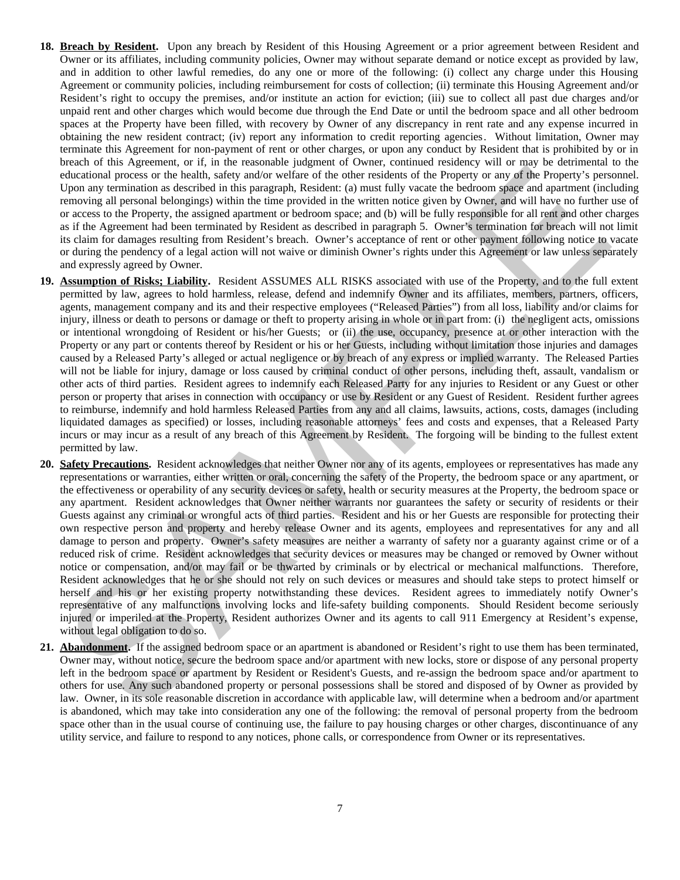- **18. Breach by Resident.** Upon any breach by Resident of this Housing Agreement or a prior agreement between Resident and Owner or its affiliates, including community policies, Owner may without separate demand or notice except as provided by law, and in addition to other lawful remedies, do any one or more of the following: (i) collect any charge under this Housing Agreement or community policies, including reimbursement for costs of collection; (ii) terminate this Housing Agreement and/or Resident's right to occupy the premises, and/or institute an action for eviction; (iii) sue to collect all past due charges and/or unpaid rent and other charges which would become due through the End Date or until the bedroom space and all other bedroom spaces at the Property have been filled, with recovery by Owner of any discrepancy in rent rate and any expense incurred in obtaining the new resident contract; (iv) report any information to credit reporting agencies. Without limitation, Owner may terminate this Agreement for non-payment of rent or other charges, or upon any conduct by Resident that is prohibited by or in breach of this Agreement, or if, in the reasonable judgment of Owner, continued residency will or may be detrimental to the educational process or the health, safety and/or welfare of the other residents of the Property or any of the Property's personnel. Upon any termination as described in this paragraph, Resident: (a) must fully vacate the bedroom space and apartment (including removing all personal belongings) within the time provided in the written notice given by Owner, and will have no further use of or access to the Property, the assigned apartment or bedroom space; and (b) will be fully responsible for all rent and other charges as if the Agreement had been terminated by Resident as described in paragraph 5. Owner's termination for breach will not limit its claim for damages resulting from Resident's breach. Owner's acceptance of rent or other payment following notice to vacate or during the pendency of a legal action will not waive or diminish Owner's rights under this Agreement or law unless separately and expressly agreed by Owner.
- **19. Assumption of Risks; Liability.** Resident ASSUMES ALL RISKS associated with use of the Property, and to the full extent permitted by law, agrees to hold harmless, release, defend and indemnify Owner and its affiliates, members, partners, officers, agents, management company and its and their respective employees ("Released Parties") from all loss, liability and/or claims for injury, illness or death to persons or damage or theft to property arising in whole or in part from: (i) the negligent acts, omissions or intentional wrongdoing of Resident or his/her Guests; or (ii) the use, occupancy, presence at or other interaction with the Property or any part or contents thereof by Resident or his or her Guests, including without limitation those injuries and damages caused by a Released Party's alleged or actual negligence or by breach of any express or implied warranty. The Released Parties will not be liable for injury, damage or loss caused by criminal conduct of other persons, including theft, assault, vandalism or other acts of third parties. Resident agrees to indemnify each Released Party for any injuries to Resident or any Guest or other person or property that arises in connection with occupancy or use by Resident or any Guest of Resident. Resident further agrees to reimburse, indemnify and hold harmless Released Parties from any and all claims, lawsuits, actions, costs, damages (including liquidated damages as specified) or losses, including reasonable attorneys' fees and costs and expenses, that a Released Party incurs or may incur as a result of any breach of this Agreement by Resident. The forgoing will be binding to the fullest extent permitted by law.
- **20. Safety Precautions.** Resident acknowledges that neither Owner nor any of its agents, employees or representatives has made any representations or warranties, either written or oral, concerning the safety of the Property, the bedroom space or any apartment, or the effectiveness or operability of any security devices or safety, health or security measures at the Property, the bedroom space or any apartment. Resident acknowledges that Owner neither warrants nor guarantees the safety or security of residents or their Guests against any criminal or wrongful acts of third parties. Resident and his or her Guests are responsible for protecting their own respective person and property and hereby release Owner and its agents, employees and representatives for any and all damage to person and property. Owner's safety measures are neither a warranty of safety nor a guaranty against crime or of a reduced risk of crime. Resident acknowledges that security devices or measures may be changed or removed by Owner without notice or compensation, and/or may fail or be thwarted by criminals or by electrical or mechanical malfunctions. Therefore, Resident acknowledges that he or she should not rely on such devices or measures and should take steps to protect himself or herself and his or her existing property notwithstanding these devices. Resident agrees to immediately notify Owner's representative of any malfunctions involving locks and life-safety building components. Should Resident become seriously injured or imperiled at the Property, Resident authorizes Owner and its agents to call 911 Emergency at Resident's expense, without legal obligation to do so. And an expected by a decision in the proposition of the proposition of the continuous control of the proposition of the control of the control of the control of the control of the control of the control of the control of
- **21. Abandonment.** If the assigned bedroom space or an apartment is abandoned or Resident's right to use them has been terminated, Owner may, without notice, secure the bedroom space and/or apartment with new locks, store or dispose of any personal property left in the bedroom space or apartment by Resident or Resident's Guests, and re-assign the bedroom space and/or apartment to others for use. Any such abandoned property or personal possessions shall be stored and disposed of by Owner as provided by law. Owner, in its sole reasonable discretion in accordance with applicable law, will determine when a bedroom and/or apartment is abandoned, which may take into consideration any one of the following: the removal of personal property from the bedroom space other than in the usual course of continuing use, the failure to pay housing charges or other charges, discontinuance of any utility service, and failure to respond to any notices, phone calls, or correspondence from Owner or its representatives.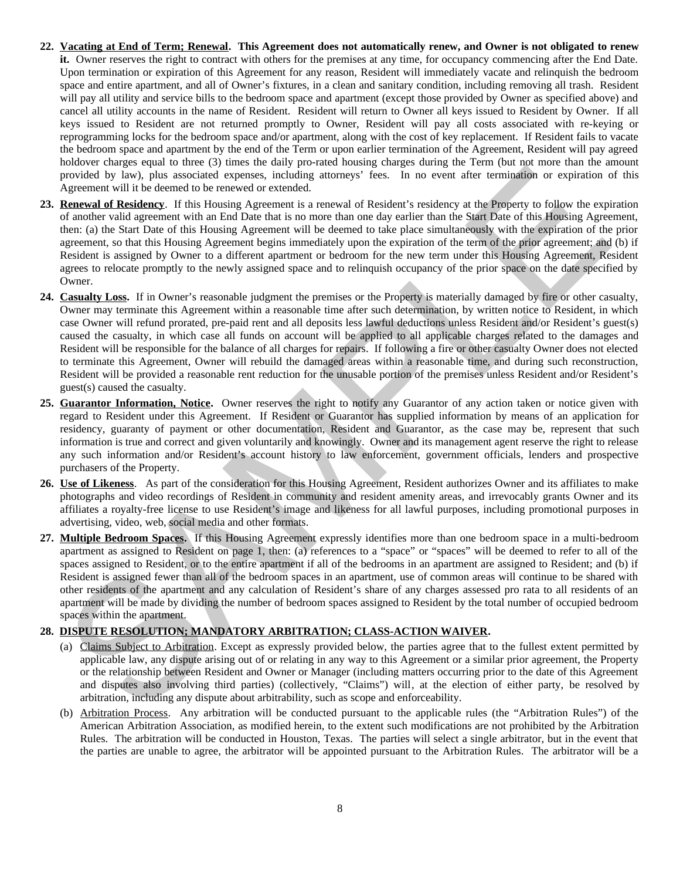- **22. Vacating at End of Term; Renewal. This Agreement does not automatically renew, and Owner is not obligated to renew it.** Owner reserves the right to contract with others for the premises at any time, for occupancy commencing after the End Date. Upon termination or expiration of this Agreement for any reason, Resident will immediately vacate and relinquish the bedroom space and entire apartment, and all of Owner's fixtures, in a clean and sanitary condition, including removing all trash. Resident will pay all utility and service bills to the bedroom space and apartment (except those provided by Owner as specified above) and cancel all utility accounts in the name of Resident. Resident will return to Owner all keys issued to Resident by Owner. If all keys issued to Resident are not returned promptly to Owner, Resident will pay all costs associated with re-keying or reprogramming locks for the bedroom space and/or apartment, along with the cost of key replacement. If Resident fails to vacate the bedroom space and apartment by the end of the Term or upon earlier termination of the Agreement, Resident will pay agreed holdover charges equal to three (3) times the daily pro-rated housing charges during the Term (but not more than the amount provided by law), plus associated expenses, including attorneys' fees. In no event after termination or expiration of this Agreement will it be deemed to be renewed or extended.
- **23. Renewal of Residency**. If this Housing Agreement is a renewal of Resident's residency at the Property to follow the expiration of another valid agreement with an End Date that is no more than one day earlier than the Start Date of this Housing Agreement, then: (a) the Start Date of this Housing Agreement will be deemed to take place simultaneously with the expiration of the prior agreement, so that this Housing Agreement begins immediately upon the expiration of the term of the prior agreement; and (b) if Resident is assigned by Owner to a different apartment or bedroom for the new term under this Housing Agreement, Resident agrees to relocate promptly to the newly assigned space and to relinquish occupancy of the prior space on the date specified by Owner.
- **24. Casualty Loss.** If in Owner's reasonable judgment the premises or the Property is materially damaged by fire or other casualty, Owner may terminate this Agreement within a reasonable time after such determination, by written notice to Resident, in which case Owner will refund prorated, pre-paid rent and all deposits less lawful deductions unless Resident and/or Resident's guest(s) caused the casualty, in which case all funds on account will be applied to all applicable charges related to the damages and Resident will be responsible for the balance of all charges for repairs. If following a fire or other casualty Owner does not elected to terminate this Agreement, Owner will rebuild the damaged areas within a reasonable time, and during such reconstruction, Resident will be provided a reasonable rent reduction for the unusable portion of the premises unless Resident and/or Resident's guest(s) caused the casualty. model also so that the same that the same for the same format model and the same that we have been also solve that the same of the same of the same of the same of the same of the same of the same of the same of the same of
- **25. Guarantor Information, Notice.** Owner reserves the right to notify any Guarantor of any action taken or notice given with regard to Resident under this Agreement. If Resident or Guarantor has supplied information by means of an application for residency, guaranty of payment or other documentation, Resident and Guarantor, as the case may be, represent that such information is true and correct and given voluntarily and knowingly. Owner and its management agent reserve the right to release any such information and/or Resident's account history to law enforcement, government officials, lenders and prospective purchasers of the Property.
- **26. Use of Likeness**. As part of the consideration for this Housing Agreement, Resident authorizes Owner and its affiliates to make photographs and video recordings of Resident in community and resident amenity areas, and irrevocably grants Owner and its affiliates a royalty-free license to use Resident's image and likeness for all lawful purposes, including promotional purposes in advertising, video, web, social media and other formats.
- **27. Multiple Bedroom Spaces.** If this Housing Agreement expressly identifies more than one bedroom space in a multi-bedroom apartment as assigned to Resident on page 1, then: (a) references to a "space" or "spaces" will be deemed to refer to all of the spaces assigned to Resident, or to the entire apartment if all of the bedrooms in an apartment are assigned to Resident; and (b) if Resident is assigned fewer than all of the bedroom spaces in an apartment, use of common areas will continue to be shared with other residents of the apartment and any calculation of Resident's share of any charges assessed pro rata to all residents of an apartment will be made by dividing the number of bedroom spaces assigned to Resident by the total number of occupied bedroom spaces within the apartment.

# **28. DISPUTE RESOLUTION; MANDATORY ARBITRATION; CLASS-ACTION WAIVER.**

- (a) Claims Subject to Arbitration. Except as expressly provided below, the parties agree that to the fullest extent permitted by applicable law, any dispute arising out of or relating in any way to this Agreement or a similar prior agreement, the Property or the relationship between Resident and Owner or Manager (including matters occurring prior to the date of this Agreement and disputes also involving third parties) (collectively, "Claims") will, at the election of either party, be resolved by arbitration, including any dispute about arbitrability, such as scope and enforceability.
- (b) Arbitration Process. Any arbitration will be conducted pursuant to the applicable rules (the "Arbitration Rules") of the American Arbitration Association, as modified herein, to the extent such modifications are not prohibited by the Arbitration Rules. The arbitration will be conducted in Houston, Texas. The parties will select a single arbitrator, but in the event that the parties are unable to agree, the arbitrator will be appointed pursuant to the Arbitration Rules. The arbitrator will be a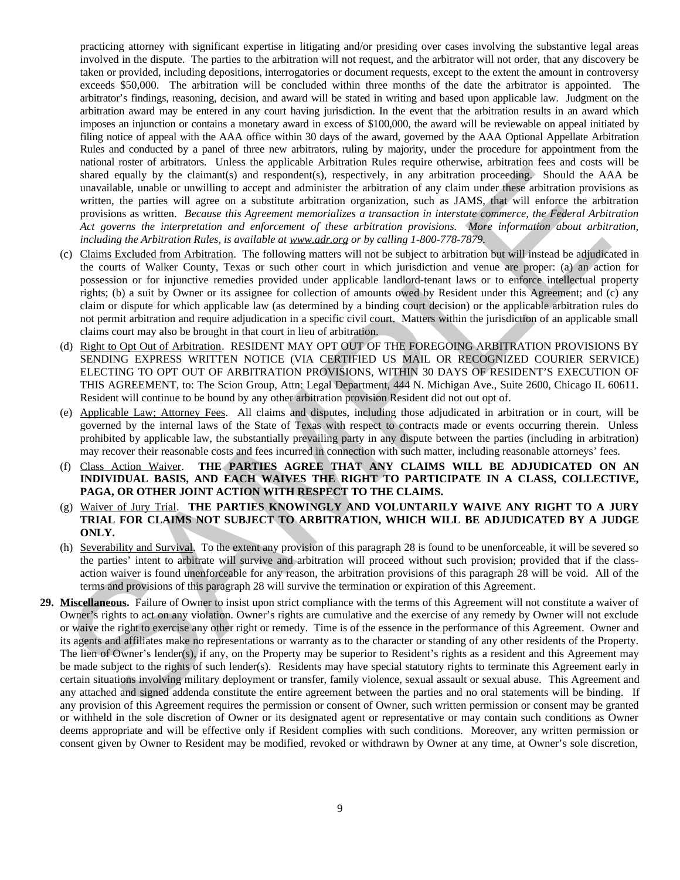practicing attorney with significant expertise in litigating and/or presiding over cases involving the substantive legal areas involved in the dispute. The parties to the arbitration will not request, and the arbitrator will not order, that any discovery be taken or provided, including depositions, interrogatories or document requests, except to the extent the amount in controversy exceeds \$50,000. The arbitration will be concluded within three months of the date the arbitrator is appointed. The arbitrator's findings, reasoning, decision, and award will be stated in writing and based upon applicable law. Judgment on the arbitration award may be entered in any court having jurisdiction. In the event that the arbitration results in an award which imposes an injunction or contains a monetary award in excess of \$100,000, the award will be reviewable on appeal initiated by filing notice of appeal with the AAA office within 30 days of the award, governed by the AAA Optional Appellate Arbitration Rules and conducted by a panel of three new arbitrators, ruling by majority, under the procedure for appointment from the national roster of arbitrators. Unless the applicable Arbitration Rules require otherwise, arbitration fees and costs will be shared equally by the claimant(s) and respondent(s), respectively, in any arbitration proceeding. Should the AAA be unavailable, unable or unwilling to accept and administer the arbitration of any claim under these arbitration provisions as written, the parties will agree on a substitute arbitration organization, such as JAMS, that will enforce the arbitration provisions as written. *Because this Agreement memorializes a transaction in interstate commerce, the Federal Arbitration Act governs the interpretation and enforcement of these arbitration provisions. More information about arbitration, including the Arbitration Rules, is available at www.adr.org or by calling 1-800-778-7879.*

- (c) Claims Excluded from Arbitration. The following matters will not be subject to arbitration but will instead be adjudicated in the courts of Walker County, Texas or such other court in which jurisdiction and venue are proper: (a) an action for possession or for injunctive remedies provided under applicable landlord-tenant laws or to enforce intellectual property rights; (b) a suit by Owner or its assignee for collection of amounts owed by Resident under this Agreement; and (c) any claim or dispute for which applicable law (as determined by a binding court decision) or the applicable arbitration rules do not permit arbitration and require adjudication in a specific civil court. Matters within the jurisdiction of an applicable small claims court may also be brought in that court in lieu of arbitration.
- (d) Right to Opt Out of Arbitration. RESIDENT MAY OPT OUT OF THE FOREGOING ARBITRATION PROVISIONS BY SENDING EXPRESS WRITTEN NOTICE (VIA CERTIFIED US MAIL OR RECOGNIZED COURIER SERVICE) ELECTING TO OPT OUT OF ARBITRATION PROVISIONS, WITHIN 30 DAYS OF RESIDENT'S EXECUTION OF THIS AGREEMENT, to: The Scion Group, Attn: Legal Department, 444 N. Michigan Ave., Suite 2600, Chicago IL 60611. Resident will continue to be bound by any other arbitration provision Resident did not out opt of.
- (e) Applicable Law; Attorney Fees. All claims and disputes, including those adjudicated in arbitration or in court, will be governed by the internal laws of the State of Texas with respect to contracts made or events occurring therein. Unless prohibited by applicable law, the substantially prevailing party in any dispute between the parties (including in arbitration) may recover their reasonable costs and fees incurred in connection with such matter, including reasonable attorneys' fees.
- (f) Class Action Waiver. **THE PARTIES AGREE THAT ANY CLAIMS WILL BE ADJUDICATED ON AN INDIVIDUAL BASIS, AND EACH WAIVES THE RIGHT TO PARTICIPATE IN A CLASS, COLLECTIVE, PAGA, OR OTHER JOINT ACTION WITH RESPECT TO THE CLAIMS.**
- (g) Waiver of Jury Trial. **THE PARTIES KNOWINGLY AND VOLUNTARILY WAIVE ANY RIGHT TO A JURY TRIAL FOR CLAIMS NOT SUBJECT TO ARBITRATION, WHICH WILL BE ADJUDICATED BY A JUDGE ONLY.**
- (h) Severability and Survival. To the extent any provision of this paragraph 28 is found to be unenforceable, it will be severed so the parties' intent to arbitrate will survive and arbitration will proceed without such provision; provided that if the classaction waiver is found unenforceable for any reason, the arbitration provisions of this paragraph 28 will be void. All of the terms and provisions of this paragraph 28 will survive the termination or expiration of this Agreement.
- **29. Miscellaneous.** Failure of Owner to insist upon strict compliance with the terms of this Agreement will not constitute a waiver of Owner's rights to act on any violation. Owner's rights are cumulative and the exercise of any remedy by Owner will not exclude or waive the right to exercise any other right or remedy. Time is of the essence in the performance of this Agreement. Owner and its agents and affiliates make no representations or warranty as to the character or standing of any other residents of the Property. The lien of Owner's lender(s), if any, on the Property may be superior to Resident's rights as a resident and this Agreement may be made subject to the rights of such lender(s). Residents may have special statutory rights to terminate this Agreement early in certain situations involving military deployment or transfer, family violence, sexual assault or sexual abuse. This Agreement and any attached and signed addenda constitute the entire agreement between the parties and no oral statements will be binding. If any provision of this Agreement requires the permission or consent of Owner, such written permission or consent may be granted or withheld in the sole discretion of Owner or its designated agent or representative or may contain such conditions as Owner deems appropriate and will be effective only if Resident complies with such conditions. Moreover, any written permission or consent given by Owner to Resident may be modified, revoked or withdrawn by Owner at any time, at Owner's sole discretion, shares or<br>and the technology and spacetive of the state of the state of the state of<br>any state in the state of the state of the state of the state of the<br>state of the state of the state of the state of the state of the st